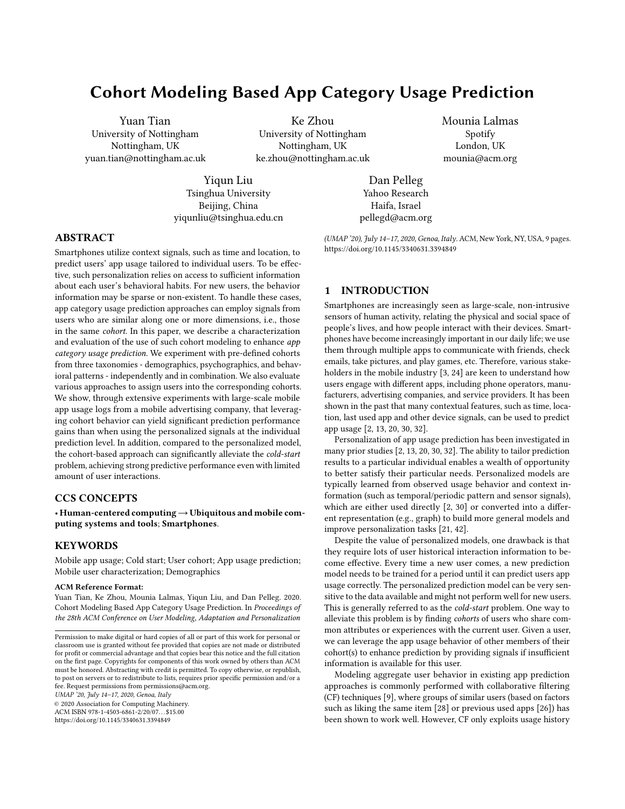# Cohort Modeling Based App Category Usage Prediction

Yuan Tian University of Nottingham Nottingham, UK yuan.tian@nottingham.ac.uk

Ke Zhou University of Nottingham Nottingham, UK ke.zhou@nottingham.ac.uk

Mounia Lalmas Spotify London, UK mounia@acm.org

Yiqun Liu Tsinghua University Beijing, China yiqunliu@tsinghua.edu.cn

Dan Pelleg Yahoo Research Haifa, Israel pellegd@acm.org

# ABSTRACT

Smartphones utilize context signals, such as time and location, to predict users' app usage tailored to individual users. To be effective, such personalization relies on access to sufficient information about each user's behavioral habits. For new users, the behavior information may be sparse or non-existent. To handle these cases, app category usage prediction approaches can employ signals from users who are similar along one or more dimensions, i.e., those in the same cohort. In this paper, we describe a characterization and evaluation of the use of such cohort modeling to enhance app category usage prediction. We experiment with pre-defined cohorts from three taxonomies - demographics, psychographics, and behavioral patterns - independently and in combination. We also evaluate various approaches to assign users into the corresponding cohorts. We show, through extensive experiments with large-scale mobile app usage logs from a mobile advertising company, that leveraging cohort behavior can yield significant prediction performance gains than when using the personalized signals at the individual prediction level. In addition, compared to the personalized model, the cohort-based approach can significantly alleviate the cold-start problem, achieving strong predictive performance even with limited amount of user interactions.

#### CCS CONCEPTS

• Human-centered computing  $\rightarrow$  Ubiquitous and mobile computing systems and tools; Smartphones.

# **KEYWORDS**

Mobile app usage; Cold start; User cohort; App usage prediction; Mobile user characterization; Demographics

#### ACM Reference Format:

Yuan Tian, Ke Zhou, Mounia Lalmas, Yiqun Liu, and Dan Pelleg. 2020. Cohort Modeling Based App Category Usage Prediction. In Proceedings of the 28th ACM Conference on User Modeling, Adaptation and Personalization

UMAP '20, July 14–17, 2020, Genoa, Italy

© 2020 Association for Computing Machinery.

ACM ISBN 978-1-4503-6861-2/20/07. . . \$15.00 <https://doi.org/10.1145/3340631.3394849>

(UMAP '20), July 14–17, 2020, Genoa, Italy. ACM, New York, NY, USA, [9](#page-8-0) pages. <https://doi.org/10.1145/3340631.3394849>

#### 1 INTRODUCTION

Smartphones are increasingly seen as large-scale, non-intrusive sensors of human activity, relating the physical and social space of people's lives, and how people interact with their devices. Smartphones have become increasingly important in our daily life; we use them through multiple apps to communicate with friends, check emails, take pictures, and play games, etc. Therefore, various stakeholders in the mobile industry [\[3,](#page-8-1) [24\]](#page-8-2) are keen to understand how users engage with different apps, including phone operators, manufacturers, advertising companies, and service providers. It has been shown in the past that many contextual features, such as time, location, last used app and other device signals, can be used to predict app usage [\[2,](#page-8-3) [13,](#page-8-4) [20,](#page-8-5) [30,](#page-8-6) [32\]](#page-8-7).

Personalization of app usage prediction has been investigated in many prior studies [\[2,](#page-8-3) [13,](#page-8-4) [20,](#page-8-5) [30,](#page-8-6) [32\]](#page-8-7). The ability to tailor prediction results to a particular individual enables a wealth of opportunity to better satisfy their particular needs. Personalized models are typically learned from observed usage behavior and context information (such as temporal/periodic pattern and sensor signals), which are either used directly [\[2,](#page-8-3) [30\]](#page-8-6) or converted into a different representation (e.g., graph) to build more general models and improve personalization tasks [\[21,](#page-8-8) [42\]](#page-8-9).

Despite the value of personalized models, one drawback is that they require lots of user historical interaction information to become effective. Every time a new user comes, a new prediction model needs to be trained for a period until it can predict users app usage correctly. The personalized prediction model can be very sensitive to the data available and might not perform well for new users. This is generally referred to as the cold-start problem. One way to alleviate this problem is by finding cohorts of users who share common attributes or experiences with the current user. Given a user, we can leverage the app usage behavior of other members of their cohort(s) to enhance prediction by providing signals if insufficient information is available for this user.

Modeling aggregate user behavior in existing app prediction approaches is commonly performed with collaborative filtering (CF) techniques [\[9\]](#page-8-10), where groups of similar users (based on factors such as liking the same item [\[28\]](#page-8-11) or previous used apps [\[26\]](#page-8-12)) has been shown to work well. However, CF only exploits usage history

Permission to make digital or hard copies of all or part of this work for personal or classroom use is granted without fee provided that copies are not made or distributed for profit or commercial advantage and that copies bear this notice and the full citation on the first page. Copyrights for components of this work owned by others than ACM must be honored. Abstracting with credit is permitted. To copy otherwise, or republish, to post on servers or to redistribute to lists, requires prior specific permission and/or a fee. Request permissions from permissions@acm.org.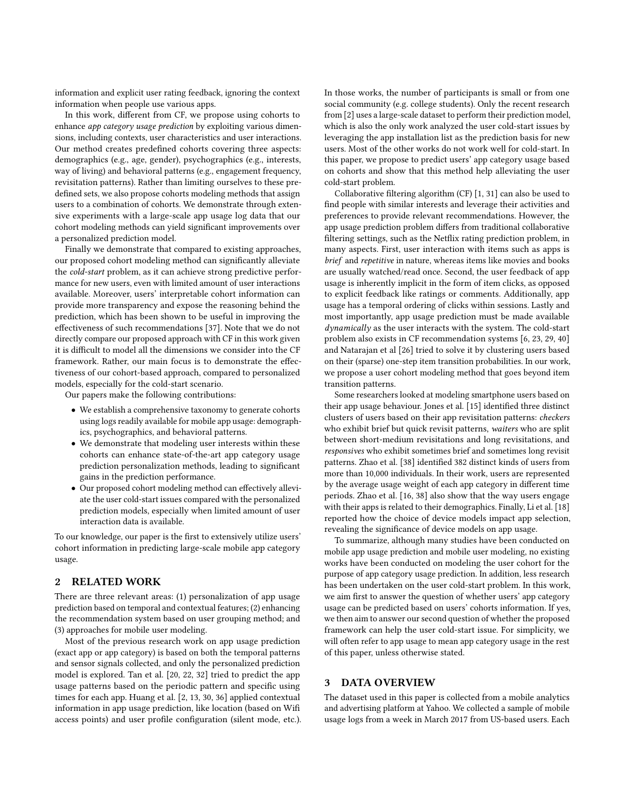information and explicit user rating feedback, ignoring the context information when people use various apps.

In this work, different from CF, we propose using cohorts to enhance app category usage prediction by exploiting various dimensions, including contexts, user characteristics and user interactions. Our method creates predefined cohorts covering three aspects: demographics (e.g., age, gender), psychographics (e.g., interests, way of living) and behavioral patterns (e.g., engagement frequency, revisitation patterns). Rather than limiting ourselves to these predefined sets, we also propose cohorts modeling methods that assign users to a combination of cohorts. We demonstrate through extensive experiments with a large-scale app usage log data that our cohort modeling methods can yield significant improvements over a personalized prediction model.

Finally we demonstrate that compared to existing approaches, our proposed cohort modeling method can significantly alleviate the cold-start problem, as it can achieve strong predictive performance for new users, even with limited amount of user interactions available. Moreover, users' interpretable cohort information can provide more transparency and expose the reasoning behind the prediction, which has been shown to be useful in improving the effectiveness of such recommendations [\[37\]](#page-8-13). Note that we do not directly compare our proposed approach with CF in this work given it is difficult to model all the dimensions we consider into the CF framework. Rather, our main focus is to demonstrate the effectiveness of our cohort-based approach, compared to personalized models, especially for the cold-start scenario.

Our papers make the following contributions:

- We establish a comprehensive taxonomy to generate cohorts using logs readily available for mobile app usage: demographics, psychographics, and behavioral patterns.
- We demonstrate that modeling user interests within these cohorts can enhance state-of-the-art app category usage prediction personalization methods, leading to significant gains in the prediction performance.
- Our proposed cohort modeling method can effectively alleviate the user cold-start issues compared with the personalized prediction models, especially when limited amount of user interaction data is available.

To our knowledge, our paper is the first to extensively utilize users' cohort information in predicting large-scale mobile app category usage.

#### 2 RELATED WORK

There are three relevant areas: (1) personalization of app usage prediction based on temporal and contextual features; (2) enhancing the recommendation system based on user grouping method; and (3) approaches for mobile user modeling.

Most of the previous research work on app usage prediction (exact app or app category) is based on both the temporal patterns and sensor signals collected, and only the personalized prediction model is explored. Tan et al. [\[20,](#page-8-5) [22,](#page-8-14) [32\]](#page-8-7) tried to predict the app usage patterns based on the periodic pattern and specific using times for each app. Huang et al. [\[2,](#page-8-3) [13,](#page-8-4) [30,](#page-8-6) [36\]](#page-8-15) applied contextual information in app usage prediction, like location (based on Wifi access points) and user profile configuration (silent mode, etc.). In those works, the number of participants is small or from one social community (e.g. college students). Only the recent research from [\[2\]](#page-8-3) uses a large-scale dataset to perform their prediction model, which is also the only work analyzed the user cold-start issues by leveraging the app installation list as the prediction basis for new users. Most of the other works do not work well for cold-start. In this paper, we propose to predict users' app category usage based on cohorts and show that this method help alleviating the user cold-start problem.

Collaborative filtering algorithm (CF) [\[1,](#page-8-16) [31\]](#page-8-17) can also be used to find people with similar interests and leverage their activities and preferences to provide relevant recommendations. However, the app usage prediction problem differs from traditional collaborative filtering settings, such as the Netflix rating prediction problem, in many aspects. First, user interaction with items such as apps is brief and repetitive in nature, whereas items like movies and books are usually watched/read once. Second, the user feedback of app usage is inherently implicit in the form of item clicks, as opposed to explicit feedback like ratings or comments. Additionally, app usage has a temporal ordering of clicks within sessions. Lastly and most importantly, app usage prediction must be made available dynamically as the user interacts with the system. The cold-start problem also exists in CF recommendation systems [\[6,](#page-8-18) [23,](#page-8-19) [29,](#page-8-20) [40\]](#page-8-21) and Natarajan et al [\[26\]](#page-8-12) tried to solve it by clustering users based on their (sparse) one-step item transition probabilities. In our work, we propose a user cohort modeling method that goes beyond item transition patterns.

Some researchers looked at modeling smartphone users based on their app usage behaviour. Jones et al. [\[15\]](#page-8-22) identified three distinct clusters of users based on their app revisitation patterns: checkers who exhibit brief but quick revisit patterns, waiters who are split between short-medium revisitations and long revisitations, and responsives who exhibit sometimes brief and sometimes long revisit patterns. Zhao et al. [\[38\]](#page-8-23) identified 382 distinct kinds of users from more than 10,000 individuals. In their work, users are represented by the average usage weight of each app category in different time periods. Zhao et al. [\[16,](#page-8-24) [38\]](#page-8-23) also show that the way users engage with their apps is related to their demographics. Finally, Li et al. [\[18\]](#page-8-25) reported how the choice of device models impact app selection, revealing the significance of device models on app usage.

To summarize, although many studies have been conducted on mobile app usage prediction and mobile user modeling, no existing works have been conducted on modeling the user cohort for the purpose of app category usage prediction. In addition, less research has been undertaken on the user cold-start problem. In this work, we aim first to answer the question of whether users' app category usage can be predicted based on users' cohorts information. If yes, we then aim to answer our second question of whether the proposed framework can help the user cold-start issue. For simplicity, we will often refer to app usage to mean app category usage in the rest of this paper, unless otherwise stated.

# 3 DATA OVERVIEW

The dataset used in this paper is collected from a mobile analytics and advertising platform at Yahoo. We collected a sample of mobile usage logs from a week in March 2017 from US-based users. Each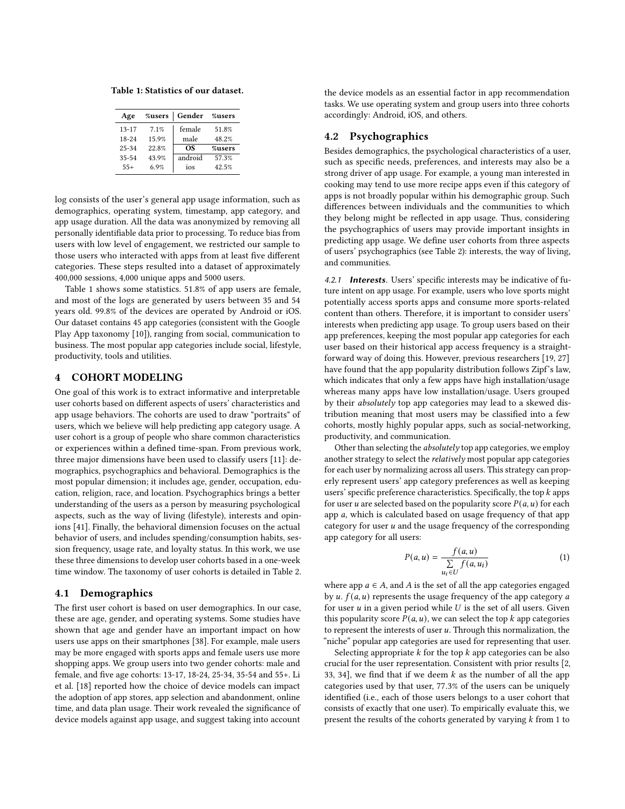<span id="page-2-0"></span>Table 1: Statistics of our dataset.

| Age       | %users | Gender  | %users |
|-----------|--------|---------|--------|
| $13 - 17$ | 7.1%   | female  | 51.8%  |
| $18 - 24$ | 15.9%  | male    | 48.2%  |
| 25-34     | 22.8%  | ΩS      | %users |
| $35 - 54$ | 43.9%  | android | 57.3%  |
| $55+$     | 6.9%   | ios     | 42.5%  |

log consists of the user's general app usage information, such as demographics, operating system, timestamp, app category, and app usage duration. All the data was anonymized by removing all personally identifiable data prior to processing. To reduce bias from users with low level of engagement, we restricted our sample to those users who interacted with apps from at least five different categories. These steps resulted into a dataset of approximately 400,000 sessions, 4,000 unique apps and 5000 users.

Table [1](#page-2-0) shows some statistics. 51.8% of app users are female, and most of the logs are generated by users between 35 and 54 years old. 99.8% of the devices are operated by Android or iOS. Our dataset contains 45 app categories (consistent with the Google Play App taxonomy [\[10\]](#page-8-26)), ranging from social, communication to business. The most popular app categories include social, lifestyle, productivity, tools and utilities.

# 4 COHORT MODELING

One goal of this work is to extract informative and interpretable user cohorts based on different aspects of users' characteristics and app usage behaviors. The cohorts are used to draw "portraits" of users, which we believe will help predicting app category usage. A user cohort is a group of people who share common characteristics or experiences within a defined time-span. From previous work, three major dimensions have been used to classify users [\[11\]](#page-8-27): demographics, psychographics and behavioral. Demographics is the most popular dimension; it includes age, gender, occupation, education, religion, race, and location. Psychographics brings a better understanding of the users as a person by measuring psychological aspects, such as the way of living (lifestyle), interests and opinions [\[41\]](#page-8-28). Finally, the behavioral dimension focuses on the actual behavior of users, and includes spending/consumption habits, session frequency, usage rate, and loyalty status. In this work, we use these three dimensions to develop user cohorts based in a one-week time window. The taxonomy of user cohorts is detailed in Table [2.](#page-3-0)

### 4.1 Demographics

The first user cohort is based on user demographics. In our case, these are age, gender, and operating systems. Some studies have shown that age and gender have an important impact on how users use apps on their smartphones [\[38\]](#page-8-23). For example, male users may be more engaged with sports apps and female users use more shopping apps. We group users into two gender cohorts: male and female, and five age cohorts: 13-17, 18-24, 25-34, 35-54 and 55+. Li et al. [\[18\]](#page-8-25) reported how the choice of device models can impact the adoption of app stores, app selection and abandonment, online time, and data plan usage. Their work revealed the significance of device models against app usage, and suggest taking into account

the device models as an essential factor in app recommendation tasks. We use operating system and group users into three cohorts accordingly: Android, iOS, and others.

### 4.2 Psychographics

Besides demographics, the psychological characteristics of a user, such as specific needs, preferences, and interests may also be a strong driver of app usage. For example, a young man interested in cooking may tend to use more recipe apps even if this category of apps is not broadly popular within his demographic group. Such differences between individuals and the communities to which they belong might be reflected in app usage. Thus, considering the psychographics of users may provide important insights in predicting app usage. We define user cohorts from three aspects of users' psychographics (see Table [2\)](#page-3-0): interests, the way of living, and communities.

4.2.1 **Interests**. Users' specific interests may be indicative of future intent on app usage. For example, users who love sports might potentially access sports apps and consume more sports-related content than others. Therefore, it is important to consider users' interests when predicting app usage. To group users based on their app preferences, keeping the most popular app categories for each user based on their historical app access frequency is a straightforward way of doing this. However, previous researchers [\[19,](#page-8-29) [27\]](#page-8-30) have found that the app popularity distribution follows Zipf's law, which indicates that only a few apps have high installation/usage whereas many apps have low installation/usage. Users grouped by their absolutely top app categories may lead to a skewed distribution meaning that most users may be classified into a few cohorts, mostly highly popular apps, such as social-networking, productivity, and communication.

Other than selecting the *absolutely* top app categories, we employ another strategy to select the relatively most popular app categories for each user by normalizing across all users. This strategy can properly represent users' app category preferences as well as keeping users' specific preference characteristics. Specifically, the top  $k$  apps for user  $u$  are selected based on the popularity score  $P(a, u)$  for each app  $a$ , which is calculated based on usage frequency of that app category for user  $u$  and the usage frequency of the corresponding app category for all users:

$$
P(a, u) = \frac{f(a, u)}{\sum\limits_{u_i \in U} f(a, u_i)}\tag{1}
$$

where app  $a \in A$ , and A is the set of all the app categories engaged by  $u$ .  $f(a, u)$  represents the usage frequency of the app category  $a$ for user  $u$  in a given period while  $U$  is the set of all users. Given this popularity score  $P(a, u)$ , we can select the top  $k$  app categories to represent the interests of user  $u$ . Through this normalization, the "niche" popular app categories are used for representing that user.

Selecting appropriate  $k$  for the top  $k$  app categories can be also crucial for the user representation. Consistent with prior results [\[2,](#page-8-3) [33,](#page-8-31) [34\]](#page-8-32), we find that if we deem  $k$  as the number of all the app categories used by that user, 77.3% of the users can be uniquely identified (i.e., each of those users belongs to a user cohort that consists of exactly that one user). To empirically evaluate this, we present the results of the cohorts generated by varying  $k$  from 1 to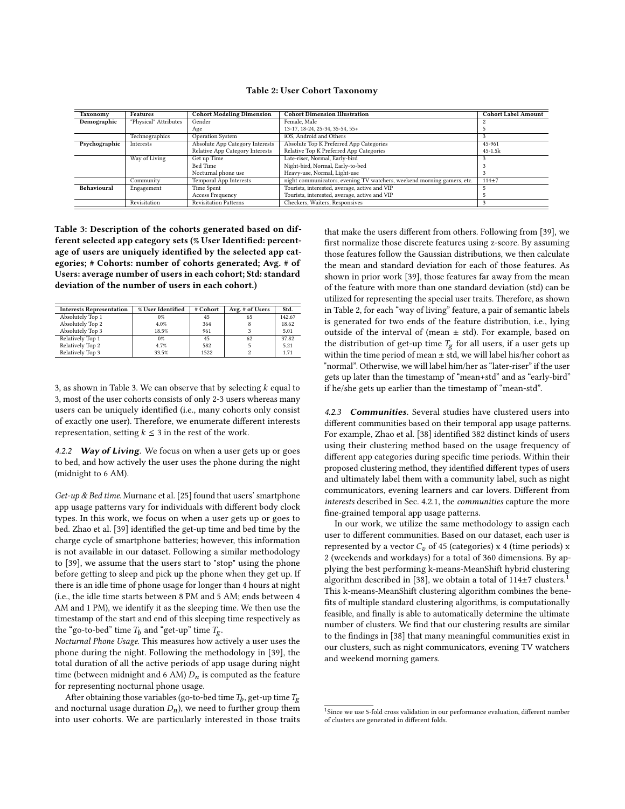<span id="page-3-0"></span>

| Taxonomy      | <b>Features</b>       | <b>Cohort Modeling Dimension</b> | <b>Cohort Dimension Illustration</b>                                   | <b>Cohort Label Amount</b> |
|---------------|-----------------------|----------------------------------|------------------------------------------------------------------------|----------------------------|
| Demographic   | "Physical" Attributes | Gender                           | Female, Male                                                           |                            |
|               |                       | Age                              | 13-17, 18-24, 25-34, 35-54, 55+                                        |                            |
|               | Technographics        | <b>Operation System</b>          | iOS, Android and Others                                                |                            |
| Psychographic | Interests             | Absolute App Category Interests  | Absolute Top K Preferred App Categories                                | 45-961                     |
|               |                       | Relative App Category Interests  | Relative Top K Preferred App Categories                                | $45 - 1.5k$                |
|               | Way of Living         | Get up Time                      | Late-riser, Normal, Early-bird                                         |                            |
|               |                       | Bed Time                         | Night-bird, Normal, Early-to-bed                                       |                            |
|               |                       | Nocturnal phone use              | Heavy-use, Normal, Light-use                                           |                            |
|               | Community             | Temporal App Interests           | night communicators, evening TV watchers, weekend morning gamers, etc. | $114 + 7$                  |
| Behavioural   | Engagement            | Time Spent                       | Tourists, interested, average, active and VIP                          |                            |
|               |                       | Access Frequency                 | Tourists, interested, average, active and VIP                          |                            |
|               | Revisitation          | <b>Revisitation Patterns</b>     | Checkers, Waiters, Responsives                                         |                            |

<span id="page-3-1"></span>Table 3: Description of the cohorts generated based on different selected app category sets (% User Identified: percentage of users are uniquely identified by the selected app categories; # Cohorts: number of cohorts generated; Avg. # of Users: average number of users in each cohort; Std: standard deviation of the number of users in each cohort.)

| <b>Interests Representation</b> | % User Identified | # Cohort | Avg. # of Users | Std.   |
|---------------------------------|-------------------|----------|-----------------|--------|
| Absolutely Top 1                | 0%                | 45       | 65              | 142.67 |
| Absolutely Top 2                | 4.0%              | 364      |                 | 18.62  |
| Absolutely Top 3                | 18.5%             | 961      |                 | 5.01   |
| Relatively Top 1                | $0\%$             | 45       | 62              | 37.82  |
| Relatively Top 2                | 4.7%              | 582      |                 | 5.21   |
| Relatively Top 3                | 33.5%             | 1522     |                 | 1.71   |

3, as shown in Table [3.](#page-3-1) We can observe that by selecting  $k$  equal to 3, most of the user cohorts consists of only 2-3 users whereas many users can be uniquely identified (i.e., many cohorts only consist of exactly one user). Therefore, we enumerate different interests representation, setting  $k \leq 3$  in the rest of the work.

4.2.2 Way of Living. We focus on when a user gets up or goes to bed, and how actively the user uses the phone during the night (midnight to 6 AM).

Get-up & Bed time. Murnane et al. [\[25\]](#page-8-33) found that users' smartphone app usage patterns vary for individuals with different body clock types. In this work, we focus on when a user gets up or goes to bed. Zhao et al. [\[39\]](#page-8-34) identified the get-up time and bed time by the charge cycle of smartphone batteries; however, this information is not available in our dataset. Following a similar methodology to [\[39\]](#page-8-34), we assume that the users start to "stop" using the phone before getting to sleep and pick up the phone when they get up. If there is an idle time of phone usage for longer than 4 hours at night (i.e., the idle time starts between 8 PM and 5 AM; ends between 4 AM and 1 PM), we identify it as the sleeping time. We then use the timestamp of the start and end of this sleeping time respectively as the "go-to-bed" time  $T_h$  and "get-up" time  $T_g$ .

Nocturnal Phone Usage. This measures how actively a user uses the phone during the night. Following the methodology in [\[39\]](#page-8-34), the total duration of all the active periods of app usage during night time (between midnight and 6 AM)  $D_n$  is computed as the feature for representing nocturnal phone usage.

After obtaining those variables (go-to-bed time  $T_b$ , get-up time  $T_g$ and nocturnal usage duration  $D_n$ ), we need to further group them into user cohorts. We are particularly interested in those traits

that make the users different from others. Following from [\[39\]](#page-8-34), we first normalize those discrete features using z-score. By assuming those features follow the Gaussian distributions, we then calculate the mean and standard deviation for each of those features. As shown in prior work [\[39\]](#page-8-34), those features far away from the mean of the feature with more than one standard deviation (std) can be utilized for representing the special user traits. Therefore, as shown in Table [2,](#page-3-0) for each "way of living" feature, a pair of semantic labels is generated for two ends of the feature distribution, i.e., lying outside of the interval of (mean  $\pm$  std). For example, based on the distribution of get-up time  $T_g$  for all users, if a user gets up within the time period of mean  $\pm$  std, we will label his/her cohort as "normal". Otherwise, we will label him/her as "later-riser" if the user gets up later than the timestamp of "mean+std" and as "early-bird" if he/she gets up earlier than the timestamp of "mean-std".

4.2.3 **Communities**. Several studies have clustered users into different communities based on their temporal app usage patterns. For example, Zhao et al. [\[38\]](#page-8-23) identified 382 distinct kinds of users using their clustering method based on the usage frequency of different app categories during specific time periods. Within their proposed clustering method, they identified different types of users and ultimately label them with a community label, such as night communicators, evening learners and car lovers. Different from interests described in Sec. 4.2.1, the communities capture the more fine-grained temporal app usage patterns.

In our work, we utilize the same methodology to assign each user to different communities. Based on our dataset, each user is represented by a vector  $C_v$  of 45 (categories) x 4 (time periods) x 2 (weekends and workdays) for a total of 360 dimensions. By applying the best performing k-means-MeanShift hybrid clustering algorithm described in [\[38\]](#page-8-23), we obtain a total of  $114\pm7$  $114\pm7$  clusters.<sup>1</sup> This k-means-MeanShift clustering algorithm combines the benefits of multiple standard clustering algorithms, is computationally feasible, and finally is able to automatically determine the ultimate number of clusters. We find that our clustering results are similar to the findings in [\[38\]](#page-8-23) that many meaningful communities exist in our clusters, such as night communicators, evening TV watchers and weekend morning gamers.

<span id="page-3-2"></span><sup>&</sup>lt;sup>1</sup>Since we use 5-fold cross validation in our performance evaluation, different number of clusters are generated in different folds.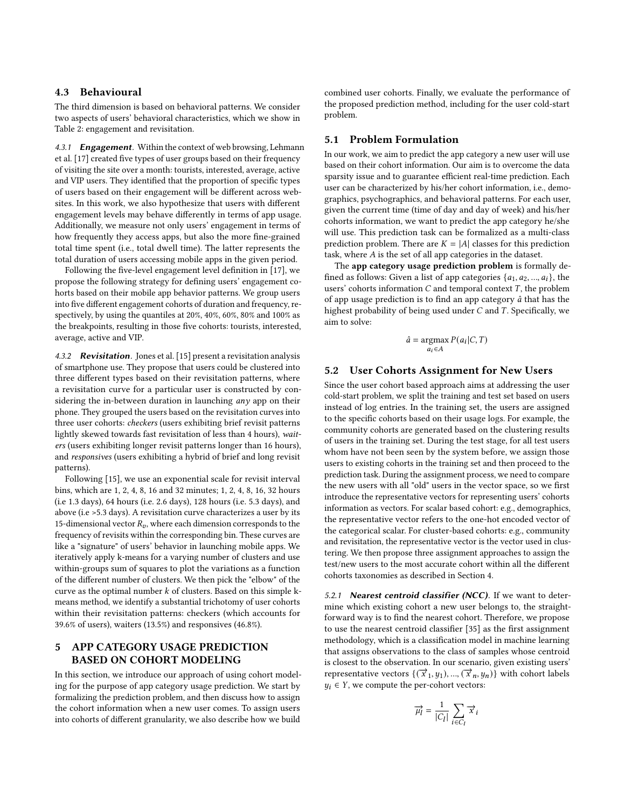### 4.3 Behavioural

The third dimension is based on behavioral patterns. We consider two aspects of users' behavioral characteristics, which we show in Table [2:](#page-3-0) engagement and revisitation.

4.3.1 Engagement. Within the context of web browsing, Lehmann et al. [\[17\]](#page-8-35) created five types of user groups based on their frequency of visiting the site over a month: tourists, interested, average, active and VIP users. They identified that the proportion of specific types of users based on their engagement will be different across websites. In this work, we also hypothesize that users with different engagement levels may behave differently in terms of app usage. Additionally, we measure not only users' engagement in terms of how frequently they access apps, but also the more fine-grained total time spent (i.e., total dwell time). The latter represents the total duration of users accessing mobile apps in the given period.

Following the five-level engagement level definition in [\[17\]](#page-8-35), we propose the following strategy for defining users' engagement cohorts based on their mobile app behavior patterns. We group users into five different engagement cohorts of duration and frequency, respectively, by using the quantiles at 20%, 40%, 60%, 80% and 100% as the breakpoints, resulting in those five cohorts: tourists, interested, average, active and VIP.

4.3.2 **Revisitation.** Jones et al. [\[15\]](#page-8-22) present a revisitation analysis of smartphone use. They propose that users could be clustered into three different types based on their revisitation patterns, where a revisitation curve for a particular user is constructed by considering the in-between duration in launching  $any$  app on their phone. They grouped the users based on the revisitation curves into three user cohorts: checkers (users exhibiting brief revisit patterns lightly skewed towards fast revisitation of less than 4 hours), waiters (users exhibiting longer revisit patterns longer than 16 hours), and responsives (users exhibiting a hybrid of brief and long revisit patterns).

Following [\[15\]](#page-8-22), we use an exponential scale for revisit interval bins, which are 1, 2, 4, 8, 16 and 32 minutes; 1, 2, 4, 8, 16, 32 hours (i.e 1.3 days), 64 hours (i.e. 2.6 days), 128 hours (i.e. 5.3 days), and above (i.e >5.3 days). A revisitation curve characterizes a user by its 15-dimensional vector  $R_p$ , where each dimension corresponds to the frequency of revisits within the corresponding bin. These curves are like a "signature" of users' behavior in launching mobile apps. We iteratively apply k-means for a varying number of clusters and use within-groups sum of squares to plot the variations as a function of the different number of clusters. We then pick the "elbow" of the curve as the optimal number  $k$  of clusters. Based on this simple kmeans method, we identify a substantial trichotomy of user cohorts within their revisitation patterns: checkers (which accounts for 39.6% of users), waiters (13.5%) and responsives (46.8%).

# 5 APP CATEGORY USAGE PREDICTION BASED ON COHORT MODELING

In this section, we introduce our approach of using cohort modeling for the purpose of app category usage prediction. We start by formalizing the prediction problem, and then discuss how to assign the cohort information when a new user comes. To assign users into cohorts of different granularity, we also describe how we build

combined user cohorts. Finally, we evaluate the performance of the proposed prediction method, including for the user cold-start problem.

# 5.1 Problem Formulation

In our work, we aim to predict the app category a new user will use based on their cohort information. Our aim is to overcome the data sparsity issue and to guarantee efficient real-time prediction. Each user can be characterized by his/her cohort information, i.e., demographics, psychographics, and behavioral patterns. For each user, given the current time (time of day and day of week) and his/her cohorts information, we want to predict the app category he/she will use. This prediction task can be formalized as a multi-class prediction problem. There are  $K = |A|$  classes for this prediction task, where  $A$  is the set of all app categories in the dataset.

The app category usage prediction problem is formally defined as follows: Given a list of app categories  $\{a_1, a_2, ..., a_i\}$ , the users' cohorts information  $C$  and temporal context  $T$ , the problem of app usage prediction is to find an app category  $\hat{a}$  that has the highest probability of being used under  $C$  and  $T$ . Specifically, we aim to solve:

$$
\hat{a} = \underset{a_i \in A}{\operatorname{argmax}} P(a_i | C, T)
$$

### <span id="page-4-0"></span>5.2 User Cohorts Assignment for New Users

Since the user cohort based approach aims at addressing the user cold-start problem, we split the training and test set based on users instead of log entries. In the training set, the users are assigned to the specific cohorts based on their usage logs. For example, the community cohorts are generated based on the clustering results of users in the training set. During the test stage, for all test users whom have not been seen by the system before, we assign those users to existing cohorts in the training set and then proceed to the prediction task. During the assignment process, we need to compare the new users with all "old" users in the vector space, so we first introduce the representative vectors for representing users' cohorts information as vectors. For scalar based cohort: e.g., demographics, the representative vector refers to the one-hot encoded vector of the categorical scalar. For cluster-based cohorts: e.g., community and revisitation, the representative vector is the vector used in clustering. We then propose three assignment approaches to assign the test/new users to the most accurate cohort within all the different cohorts taxonomies as described in Section 4.

5.2.1 Nearest centroid classifier (NCC). If we want to determine which existing cohort a new user belongs to, the straightforward way is to find the nearest cohort. Therefore, we propose to use the nearest centroid classifier [\[35\]](#page-8-36) as the first assignment methodology, which is a classification model in machine learning that assigns observations to the class of samples whose centroid is closest to the observation. In our scenario, given existing users' representative vectors  $\{(\vec{x}_1, y_1), ..., (\vec{x}_n, y_n)\}$  with cohort labels  $y_i \in Y$ , we compute the per-cohort vectors:

$$
\overrightarrow{\mu_{l}} = \frac{1}{|C_{l}|} \sum_{i \in C_{l}} \overrightarrow{x}_{i}
$$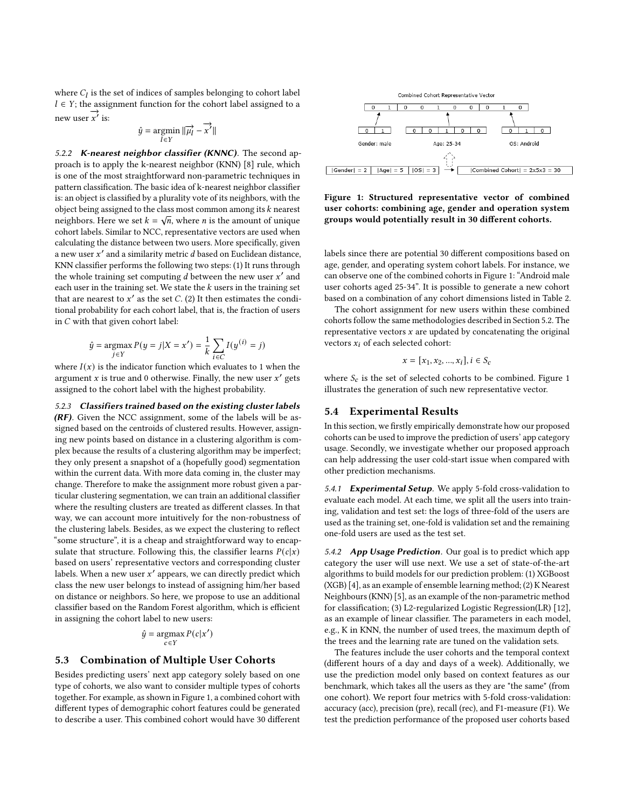where  $C_l$  is the set of indices of samples belonging to cohort label  $l \in Y$ ; the assignment function for the cohort label assigned to a  $\overrightarrow{x}$  is:

$$
\hat{y} = \operatornamewithlimits{argmin}_{l \in Y} \|\overrightarrow{\mu_{l}} - \overrightarrow{x'}\|
$$

5.2.2 K-nearest neighbor classifier (KNNC). The second approach is to apply the k-nearest neighbor (KNN) [\[8\]](#page-8-37) rule, which is one of the most straightforward non-parametric techniques in pattern classification. The basic idea of k-nearest neighbor classifier is: an object is classified by a plurality vote of its neighbors, with the object being assigned to the class most common among its  $k$  nearest object being assigned to the class most common among its  $\kappa$  nearest neighbors. Here we set  $k = \sqrt{n}$ , where *n* is the amount of unique cohort labels. Similar to NCC, representative vectors are used when calculating the distance between two users. More specifically, given a new user  $x'$  and a similarity metric  $d$  based on Euclidean distance, KNN classifier performs the following two steps: (1) It runs through the whole training set computing  $\tilde{d}$  between the new user  $x'$  and each user in the training set. We state the  $k$  users in the training set that are nearest to  $x'$  as the set C. (2) It then estimates the conditional probability for each cohort label, that is, the fraction of users in  $C$  with that given cohort label:

$$
\hat{y} = \underset{j \in Y}{\text{argmax}} P(y = j | X = x') = \frac{1}{k} \sum_{i \in C} I(y^{(i)} = j)
$$

where  $I(x)$  is the indicator function which evaluates to 1 when the argument x is true and 0 otherwise. Finally, the new user  $x'$  gets assigned to the cohort label with the highest probability.

5.2.3 Classifiers trained based on the existing cluster labels  $(RF)$ . Given the NCC assignment, some of the labels will be assigned based on the centroids of clustered results. However, assigning new points based on distance in a clustering algorithm is complex because the results of a clustering algorithm may be imperfect; they only present a snapshot of a (hopefully good) segmentation within the current data. With more data coming in, the cluster may change. Therefore to make the assignment more robust given a particular clustering segmentation, we can train an additional classifier where the resulting clusters are treated as different classes. In that way, we can account more intuitively for the non-robustness of the clustering labels. Besides, as we expect the clustering to reflect "some structure", it is a cheap and straightforward way to encapsulate that structure. Following this, the classifier learns  $P(c|x)$ based on users' representative vectors and corresponding cluster labels. When a new user  $x'$  appears, we can directly predict which class the new user belongs to instead of assigning him/her based on distance or neighbors. So here, we propose to use an additional classifier based on the Random Forest algorithm, which is efficient in assigning the cohort label to new users:

$$
\hat{y} = \operatorname*{argmax}_{c \in Y} P(c|x')
$$

# 5.3 Combination of Multiple User Cohorts

Besides predicting users' next app category solely based on one type of cohorts, we also want to consider multiple types of cohorts together. For example, as shown in Figure [1,](#page-5-0) a combined cohort with different types of demographic cohort features could be generated to describe a user. This combined cohort would have 30 different

<span id="page-5-0"></span>

Figure 1: Structured representative vector of combined user cohorts: combining age, gender and operation system groups would potentially result in 30 different cohorts.

labels since there are potential 30 different compositions based on age, gender, and operating system cohort labels. For instance, we can observe one of the combined cohorts in Figure [1:](#page-5-0) "Android male user cohorts aged 25-34". It is possible to generate a new cohort based on a combination of any cohort dimensions listed in Table [2.](#page-3-0)

The cohort assignment for new users within these combined cohorts follow the same methodologies described in Section [5.2.](#page-4-0) The representative vectors  $x$  are updated by concatenating the original vectors  $x_i$  of each selected cohort:

$$
x = [x_1, x_2, ..., x_i], i \in S_c
$$

where  $S_c$  is the set of selected cohorts to be combined. Figure [1](#page-5-0) illustrates the generation of such new representative vector.

#### 5.4 Experimental Results

In this section, we firstly empirically demonstrate how our proposed cohorts can be used to improve the prediction of users' app category usage. Secondly, we investigate whether our proposed approach can help addressing the user cold-start issue when compared with other prediction mechanisms.

5.4.1 Experimental Setup. We apply 5-fold cross-validation to evaluate each model. At each time, we split all the users into training, validation and test set: the logs of three-fold of the users are used as the training set, one-fold is validation set and the remaining one-fold users are used as the test set.

5.4.2 App Usage Prediction. Our goal is to predict which app category the user will use next. We use a set of state-of-the-art algorithms to build models for our prediction problem: (1) XGBoost (XGB) [\[4\]](#page-8-38), as an example of ensemble learning method; (2) K Nearest Neighbours (KNN) [\[5\]](#page-8-39), as an example of the non-parametric method for classification; (3) L2-regularized Logistic Regression(LR) [\[12\]](#page-8-40), as an example of linear classifier. The parameters in each model, e.g., K in KNN, the number of used trees, the maximum depth of the trees and the learning rate are tuned on the validation sets.

The features include the user cohorts and the temporal context (different hours of a day and days of a week). Additionally, we use the prediction model only based on context features as our benchmark, which takes all the users as they are "the same" (from one cohort). We report four metrics with 5-fold cross-validation: accuracy (acc), precision (pre), recall (rec), and F1-measure (F1). We test the prediction performance of the proposed user cohorts based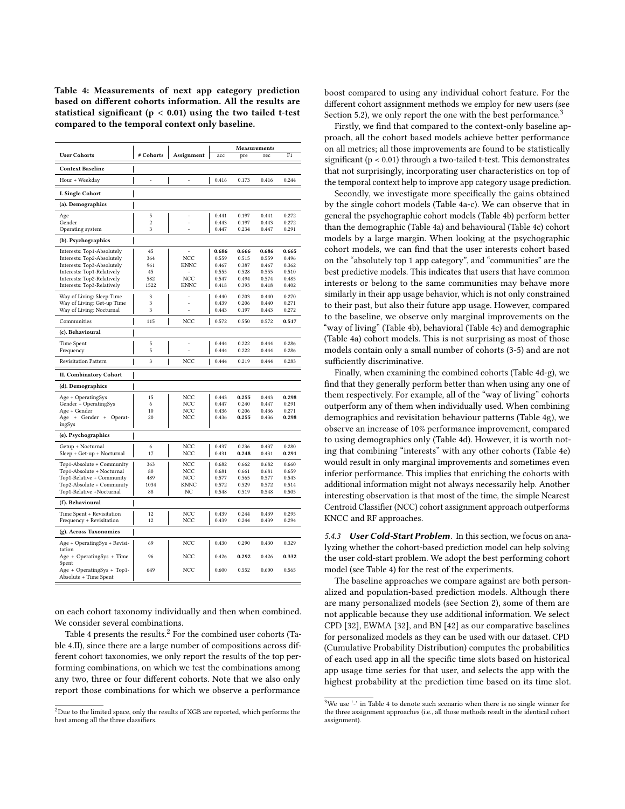<span id="page-6-0"></span>Table 4: Measurements of next app category prediction based on different cohorts information. All the results are statistical significant ( $p < 0.01$ ) using the two tailed t-test compared to the temporal context only baseline.

|                                                          |                |             | <b>Measurements</b> |                |                |                |
|----------------------------------------------------------|----------------|-------------|---------------------|----------------|----------------|----------------|
| <b>User Cohorts</b>                                      | # Cohorts      | Assignment  | acc                 | pre            | rec            | F1             |
| <b>Context Baseline</b>                                  |                |             |                     |                |                |                |
| Hour + Weekday                                           | i,             | ÷,          | 0.416               | 0.173          | 0.416          | 0.244          |
| <b>I. Single Cohort</b>                                  |                |             |                     |                |                |                |
| (a). Demographics                                        |                |             |                     |                |                |                |
| Age                                                      | 5              |             | 0.441               | 0.197          | 0.441          | 0.272          |
| Gender                                                   | $\overline{c}$ |             | 0.443               | 0.197          | 0.443          | 0.272          |
| Operating system                                         | 3              |             | 0.447               | 0.234          | 0.447          | 0.291          |
| (b). Psychographics                                      |                |             |                     |                |                |                |
| Interests: Top1-Absolutely                               | 45             |             | 0.686               | 0.666          | 0.686          | 0.665          |
| Interests: Top2-Absolutely                               | 364            | NCC         | 0.559               | 0.515          | 0.559          | 0.496          |
| Interests: Top3-Absolutely                               | 961            | KNNC        | 0.467               | 0.387          | 0.467          | 0.362          |
| Interests: Top1-Relatively<br>Interests: Top2-Relatively | 45<br>582      | NCC         | 0.555<br>0.547      | 0.528<br>0.494 | 0.555<br>0.574 | 0.510<br>0.485 |
| Interests: Top3-Relatively                               | 1522           | <b>KNNC</b> | 0.418               | 0.393          | 0.418          | 0.402          |
|                                                          |                |             |                     |                |                |                |
| Way of Living: Sleep Time                                | 3              | L,          | 0.440               | 0.203          | 0.440          | 0.270          |
| Way of Living: Get-up Time                               | 3              |             | 0.439               | 0.206          | 0.440          | 0.271          |
| Way of Living: Nocturnal                                 | 3              |             | 0.443               | 0.197          | 0.443          | 0.272          |
| Communities                                              | 115            | NCC         | 0.572               | 0.550          | 0.572          | 0.517          |
| (c). Behavioural                                         |                |             |                     |                |                |                |
| Time Spent                                               | 5              | L,          | 0.444               | 0.222          | 0.444          | 0.286          |
| Frequency                                                | 5              |             | 0.444               | 0.222          | 0.444          | 0.286          |
| <b>Revisitation Pattern</b>                              | 3              | NCC         | 0.444               | 0.219          | 0.444          | 0.283          |
| <b>II. Combinatory Cohort</b>                            |                |             |                     |                |                |                |
| (d). Demographics                                        |                |             |                     |                |                |                |
| Age + OperatingSys                                       | 15             | NCC         | 0.443               | 0.255          | 0.443          | 0.298          |
| Gender + OperatingSys                                    | 6              | NCC         | 0.447               | 0.240          | 0.447          | 0.291          |
| Age + Gender                                             | 10             | NCC         | 0.436               | 0.206          | 0.436          | 0.271          |
| Age<br>+ Gender +<br>Operat-                             | 20             | NCC         | 0.436               | 0.255          | 0.436          | 0.298          |
| ingSys                                                   |                |             |                     |                |                |                |
| (e). Psychographics                                      |                |             |                     |                |                |                |
| Getup + Nocturnal                                        | 6              | NCC         | 0.437               | 0.236          | 0.437          | 0.280          |
| Sleep + Get-up + Nocturnal                               | 17             | NCC         | 0.431               | 0.248          | 0.431          | 0.291          |
| Top1-Absolute + Community                                | 363            | NCC         | 0.682               | 0.662          | 0.682          | 0.660          |
| Top1-Absolute + Nocturnal                                | 80             | NCC         | 0.681               | 0.661          | 0.681          | 0.659          |
| Top1-Relative + Community                                | 489            | NCC         | 0.577               | 0.565          | 0.577          | 0.543          |
| Top2-Absolute + Community                                | 1034           | <b>KNNC</b> | 0.572               | 0.529          | 0.572          | 0.514          |
| Top1-Relative +Nocturnal                                 | 88             | NC          | 0.548               | 0.519          | 0.548          | 0.505          |
| (f). Behavioural                                         |                |             |                     |                |                |                |
| Time Spent + Revisitation                                | 12             | NCC         | 0.439               | 0.244<br>0.244 | 0.439          | 0.295          |
| Frequency + Revisitation                                 | 12             | NCC         | 0.439               |                | 0.439          | 0.294          |
| (g). Across Taxonomies                                   |                |             |                     |                |                |                |
| Age + OperatingSys + Revisi-<br>tation                   | 69             | NCC         | 0.430               | 0.290          | 0.430          | 0.329          |
| Age + OperatingSys + Time                                | 96             | NCC         | 0.426               | 0.292          | 0.426          | 0.332          |
| Spent                                                    |                |             |                     |                |                |                |
| Age + OperatingSys + Top1-<br>Absolute + Time Spent      | 649            | NCC         | 0.600               | 0.552          | 0.600          | 0.565          |

on each cohort taxonomy individually and then when combined. We consider several combinations.

Table [4](#page-6-0) presents the results.<sup>[2](#page-6-1)</sup> For the combined user cohorts (Table 4.II), since there are a large number of compositions across different cohort taxonomies, we only report the results of the top performing combinations, on which we test the combinations among any two, three or four different cohorts. Note that we also only report those combinations for which we observe a performance

boost compared to using any individual cohort feature. For the different cohort assignment methods we employ for new users (see Section [5.2\)](#page-4-0), we only report the one with the best performance.<sup>[3](#page-6-2)</sup>

Firstly, we find that compared to the context-only baseline approach, all the cohort based models achieve better performance on all metrics; all those improvements are found to be statistically significant (p < 0.01) through a two-tailed t-test. This demonstrates that not surprisingly, incorporating user characteristics on top of the temporal context help to improve app category usage prediction.

Secondly, we investigate more specifically the gains obtained by the single cohort models (Table 4a-c). We can observe that in general the psychographic cohort models (Table 4b) perform better than the demographic (Table 4a) and behavioural (Table 4c) cohort models by a large margin. When looking at the psychographic cohort models, we can find that the user interests cohort based on the "absolutely top 1 app category", and "communities" are the best predictive models. This indicates that users that have common interests or belong to the same communities may behave more similarly in their app usage behavior, which is not only constrained to their past, but also their future app usage. However, compared to the baseline, we observe only marginal improvements on the "way of living" (Table 4b), behavioral (Table 4c) and demographic (Table 4a) cohort models. This is not surprising as most of those models contain only a small number of cohorts (3-5) and are not sufficiently discriminative.

Finally, when examining the combined cohorts (Table 4d-g), we find that they generally perform better than when using any one of them respectively. For example, all of the "way of living" cohorts outperform any of them when individually used. When combining demographics and revisitation behaviour patterns (Table 4g), we observe an increase of 10% performance improvement, compared to using demographics only (Table 4d). However, it is worth noting that combining "interests" with any other cohorts (Table 4e) would result in only marginal improvements and sometimes even inferior performance. This implies that enriching the cohorts with additional information might not always necessarily help. Another interesting observation is that most of the time, the simple Nearest Centroid Classifier (NCC) cohort assignment approach outperforms KNCC and RF approaches.

5.4.3 User Cold-Start Problem. In this section, we focus on analyzing whether the cohort-based prediction model can help solving the user cold-start problem. We adopt the best performing cohort model (see Table [4\)](#page-6-0) for the rest of the experiments.

The baseline approaches we compare against are both personalized and population-based prediction models. Although there are many personalized models (see Section 2), some of them are not applicable because they use additional information. We select CPD [\[32\]](#page-8-7), EWMA [\[32\]](#page-8-7), and BN [\[42\]](#page-8-9) as our comparative baselines for personalized models as they can be used with our dataset. CPD (Cumulative Probability Distribution) computes the probabilities of each used app in all the specific time slots based on historical app usage time series for that user, and selects the app with the highest probability at the prediction time based on its time slot.

<span id="page-6-1"></span><sup>&</sup>lt;sup>2</sup>Due to the limited space, only the results of XGB are reported, which performs the best among all the three classifiers.

<span id="page-6-2"></span><sup>&</sup>lt;sup>3</sup>We use '-' in Table 4 to denote such scenario when there is no single winner for the three assignment approaches (i.e., all those methods result in the identical cohort assignment).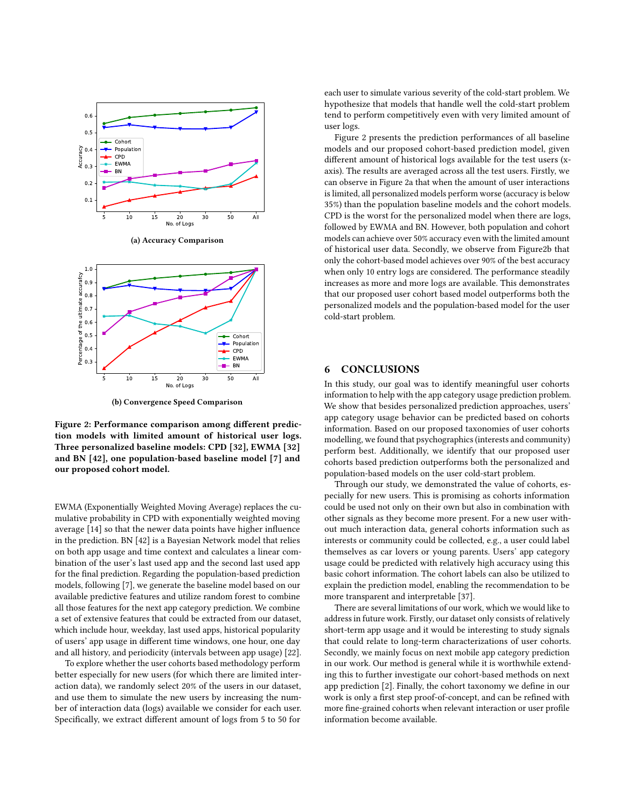<span id="page-7-0"></span>

(a) Accuracy Comparison



(b) Convergence Speed Comparison

Figure 2: Performance comparison among different prediction models with limited amount of historical user logs. Three personalized baseline models: CPD [\[32\]](#page-8-7), EWMA [\[32\]](#page-8-7) and BN [\[42\]](#page-8-9), one population-based baseline model [\[7\]](#page-8-41) and our proposed cohort model.

EWMA (Exponentially Weighted Moving Average) replaces the cumulative probability in CPD with exponentially weighted moving average [\[14\]](#page-8-42) so that the newer data points have higher influence in the prediction. BN [\[42\]](#page-8-9) is a Bayesian Network model that relies on both app usage and time context and calculates a linear combination of the user's last used app and the second last used app for the final prediction. Regarding the population-based prediction models, following [\[7\]](#page-8-41), we generate the baseline model based on our available predictive features and utilize random forest to combine all those features for the next app category prediction. We combine a set of extensive features that could be extracted from our dataset, which include hour, weekday, last used apps, historical popularity of users' app usage in different time windows, one hour, one day and all history, and periodicity (intervals between app usage) [\[22\]](#page-8-14).

To explore whether the user cohorts based methodology perform better especially for new users (for which there are limited interaction data), we randomly select 20% of the users in our dataset, and use them to simulate the new users by increasing the number of interaction data (logs) available we consider for each user. Specifically, we extract different amount of logs from 5 to 50 for

each user to simulate various severity of the cold-start problem. We hypothesize that models that handle well the cold-start problem tend to perform competitively even with very limited amount of user logs.

Figure 2 presents the prediction performances of all baseline models and our proposed cohort-based prediction model, given different amount of historical logs available for the test users (xaxis). The results are averaged across all the test users. Firstly, we can observe in Figure [2a](#page-7-0) that when the amount of user interactions is limited, all personalized models perform worse (accuracy is below 35%) than the population baseline models and the cohort models. CPD is the worst for the personalized model when there are logs, followed by EWMA and BN. However, both population and cohort models can achieve over 50% accuracy even with the limited amount of historical user data. Secondly, we observe from Figur[e2b](#page-7-0) that only the cohort-based model achieves over 90% of the best accuracy when only 10 entry logs are considered. The performance steadily increases as more and more logs are available. This demonstrates that our proposed user cohort based model outperforms both the personalized models and the population-based model for the user cold-start problem.

# 6 CONCLUSIONS

In this study, our goal was to identify meaningful user cohorts information to help with the app category usage prediction problem. We show that besides personalized prediction approaches, users' app category usage behavior can be predicted based on cohorts information. Based on our proposed taxonomies of user cohorts modelling, we found that psychographics (interests and community) perform best. Additionally, we identify that our proposed user cohorts based prediction outperforms both the personalized and population-based models on the user cold-start problem.

Through our study, we demonstrated the value of cohorts, especially for new users. This is promising as cohorts information could be used not only on their own but also in combination with other signals as they become more present. For a new user without much interaction data, general cohorts information such as interests or community could be collected, e.g., a user could label themselves as car lovers or young parents. Users' app category usage could be predicted with relatively high accuracy using this basic cohort information. The cohort labels can also be utilized to explain the prediction model, enabling the recommendation to be more transparent and interpretable [\[37\]](#page-8-13).

There are several limitations of our work, which we would like to address in future work. Firstly, our dataset only consists of relatively short-term app usage and it would be interesting to study signals that could relate to long-term characterizations of user cohorts. Secondly, we mainly focus on next mobile app category prediction in our work. Our method is general while it is worthwhile extending this to further investigate our cohort-based methods on next app prediction [\[2\]](#page-8-3). Finally, the cohort taxonomy we define in our work is only a first step proof-of-concept, and can be refined with more fine-grained cohorts when relevant interaction or user profile information become available.